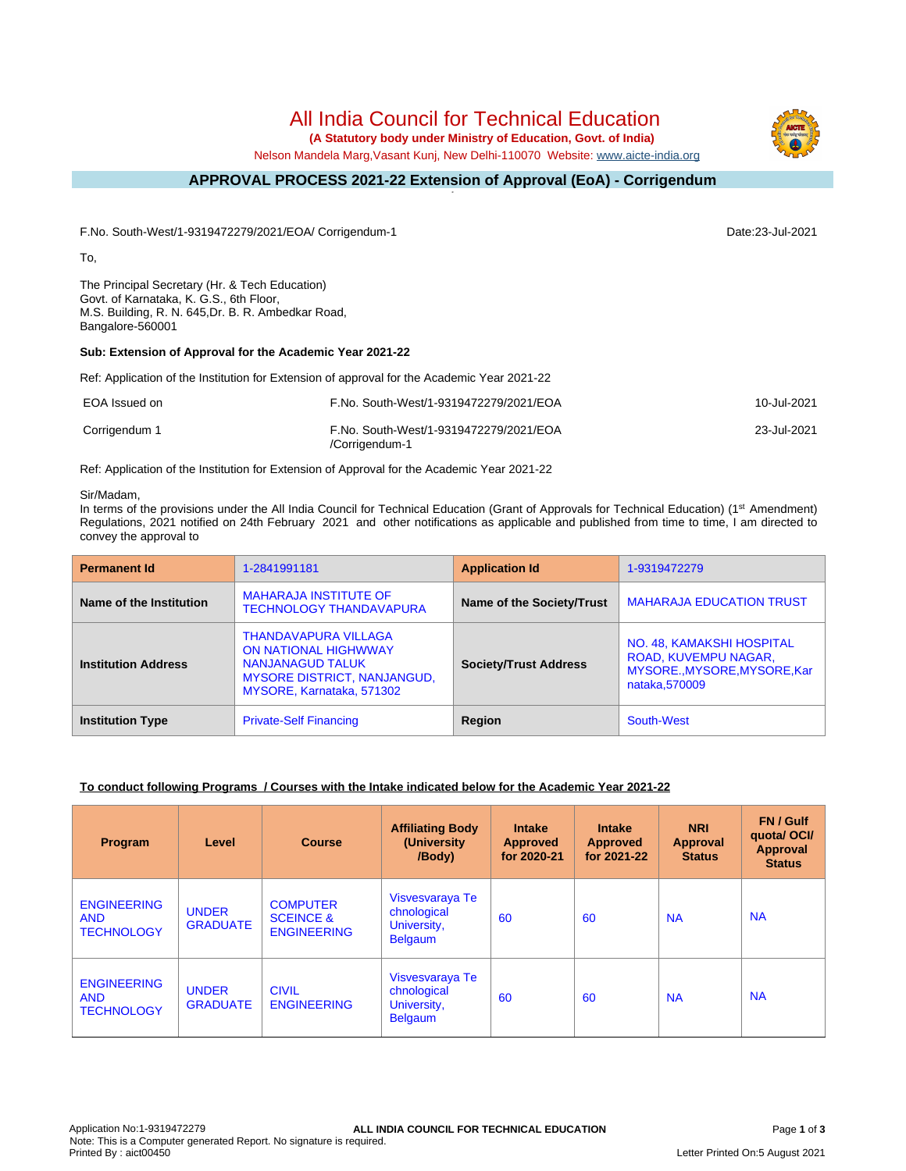# All India Council for Technical Education

 **(A Statutory body under Ministry of Education, Govt. of India)**

Nelson Mandela Marg,Vasant Kunj, New Delhi-110070 Website: [www.aicte-india.org](http://www.aicte-india.org)

#### **APPROVAL PROCESS 2021-22 Extension of Approval (EoA) - Corrigendum -**

F.No. South-West/1-9319472279/2021/EOA/ Corrigendum-1 Date:23-Jul-2021

To,

The Principal Secretary (Hr. & Tech Education) Govt. of Karnataka, K. G.S., 6th Floor, M.S. Building, R. N. 645,Dr. B. R. Ambedkar Road, Bangalore-560001

## **Sub: Extension of Approval for the Academic Year 2021-22**

Ref: Application of the Institution for Extension of approval for the Academic Year 2021-22

| EOA Issued on | F.No. South-West/1-9319472279/2021/EOA                   | 10-Jul-2021 |
|---------------|----------------------------------------------------------|-------------|
| Corrigendum 1 | F.No. South-West/1-9319472279/2021/EOA<br>/Corrigendum-1 | 23-Jul-2021 |

Ref: Application of the Institution for Extension of Approval for the Academic Year 2021-22

#### Sir/Madam,

In terms of the provisions under the All India Council for Technical Education (Grant of Approvals for Technical Education) (1<sup>st</sup> Amendment) Regulations, 2021 notified on 24th February 2021 and other notifications as applicable and published from time to time, I am directed to convey the approval to

| <b>Permanent Id</b>        | 1-2841991181                                                                                                                                             | <b>Application Id</b>        | 1-9319472279                                                                                        |
|----------------------------|----------------------------------------------------------------------------------------------------------------------------------------------------------|------------------------------|-----------------------------------------------------------------------------------------------------|
| Name of the Institution    | <b>MAHARAJA INSTITUTE OF</b><br><b>TECHNOLOGY THANDAVAPURA</b>                                                                                           | Name of the Society/Trust    | <b>MAHARAJA EDUCATION TRUST</b>                                                                     |
| <b>Institution Address</b> | <b>THANDAVAPURA VILLAGA</b><br><b>ON NATIONAL HIGHWWAY</b><br><b>NANJANAGUD TALUK</b><br><b>MYSORE DISTRICT, NANJANGUD,</b><br>MYSORE, Karnataka, 571302 | <b>Society/Trust Address</b> | NO. 48, KAMAKSHI HOSPITAL<br>ROAD, KUVEMPU NAGAR,<br>MYSORE., MYSORE, MYSORE, Kar<br>nataka, 570009 |
| <b>Institution Type</b>    | <b>Private-Self Financing</b>                                                                                                                            | Region                       | South-West                                                                                          |

### **To conduct following Programs / Courses with the Intake indicated below for the Academic Year 2021-22**

| Program                                               | Level                           | <b>Course</b>                                                 | <b>Affiliating Body</b><br>(University<br>/Body)                | <b>Intake</b><br><b>Approved</b><br>for 2020-21 | <b>Intake</b><br><b>Approved</b><br>for 2021-22 | <b>NRI</b><br>Approval<br><b>Status</b> | FN / Gulf<br>quotal OCI/<br><b>Approval</b><br><b>Status</b> |
|-------------------------------------------------------|---------------------------------|---------------------------------------------------------------|-----------------------------------------------------------------|-------------------------------------------------|-------------------------------------------------|-----------------------------------------|--------------------------------------------------------------|
| <b>ENGINEERING</b><br><b>AND</b><br><b>TECHNOLOGY</b> | <b>UNDER</b><br><b>GRADUATE</b> | <b>COMPUTER</b><br><b>SCEINCE &amp;</b><br><b>ENGINEERING</b> | Visvesvaraya Te<br>chnological<br>University,<br><b>Belgaum</b> | 60                                              | 60                                              | <b>NA</b>                               | <b>NA</b>                                                    |
| <b>ENGINEERING</b><br><b>AND</b><br><b>TECHNOLOGY</b> | <b>UNDER</b><br><b>GRADUATE</b> | <b>CIVIL</b><br><b>ENGINEERING</b>                            | Visvesvaraya Te<br>chnological<br>University,<br><b>Belgaum</b> | 60                                              | 60                                              | <b>NA</b>                               | <b>NA</b>                                                    |

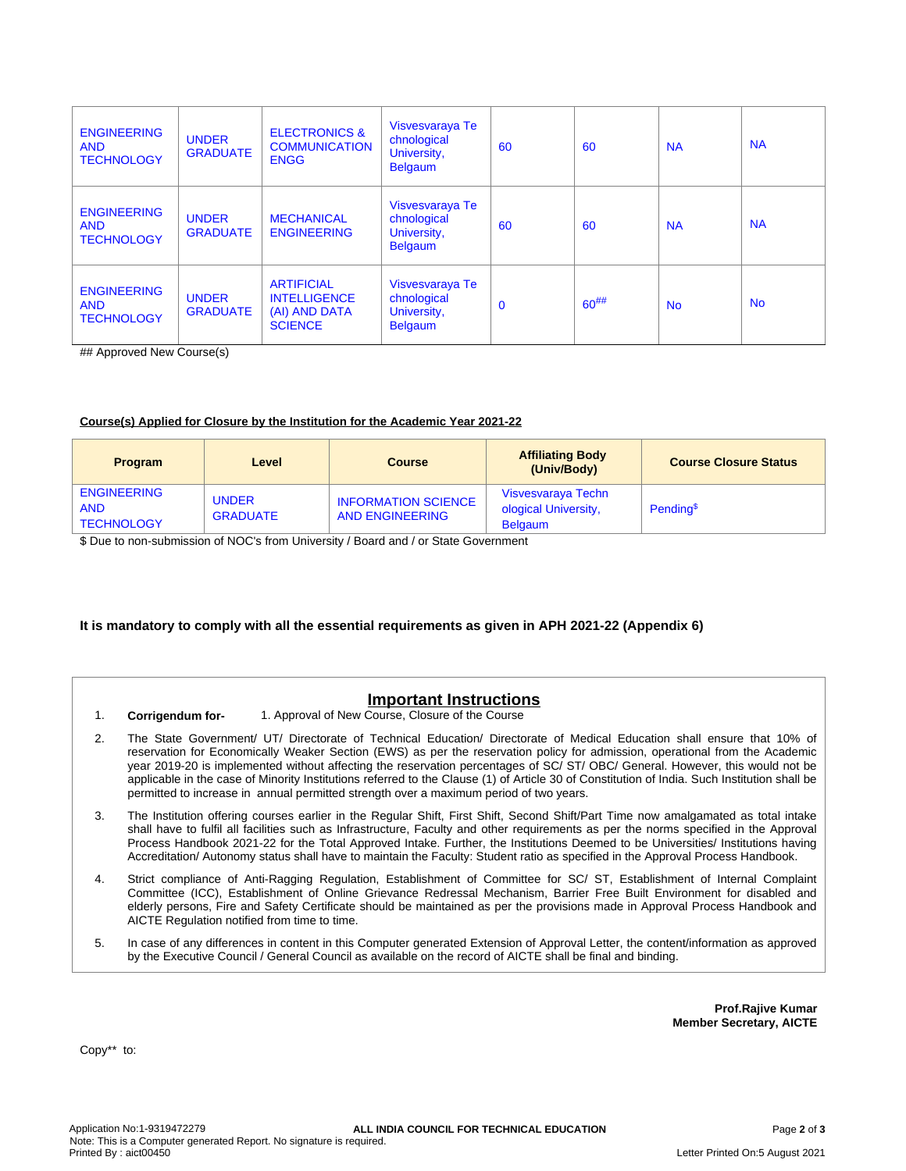| <b>ENGINEERING</b><br><b>AND</b><br><b>TECHNOLOGY</b> | <b>UNDER</b><br><b>GRADUATE</b> | <b>ELECTRONICS &amp;</b><br><b>COMMUNICATION</b><br><b>ENGG</b>             | Visvesvaraya Te<br>chnological<br>University,<br><b>Belgaum</b> | 60       | 60         | <b>NA</b> | <b>NA</b> |
|-------------------------------------------------------|---------------------------------|-----------------------------------------------------------------------------|-----------------------------------------------------------------|----------|------------|-----------|-----------|
| <b>ENGINEERING</b><br><b>AND</b><br><b>TECHNOLOGY</b> | <b>UNDER</b><br><b>GRADUATE</b> | <b>MECHANICAL</b><br><b>ENGINEERING</b>                                     | Visvesvaraya Te<br>chnological<br>University,<br><b>Belgaum</b> | 60       | 60         | <b>NA</b> | <b>NA</b> |
| <b>ENGINEERING</b><br><b>AND</b><br><b>TECHNOLOGY</b> | <b>UNDER</b><br><b>GRADUATE</b> | <b>ARTIFICIAL</b><br><b>INTELLIGENCE</b><br>(AI) AND DATA<br><b>SCIENCE</b> | Visvesvaraya Te<br>chnological<br>University,<br><b>Belgaum</b> | $\Omega$ | $60^{#}\%$ | <b>No</b> | <b>No</b> |

## Approved New Course(s)

#### **Course(s) Applied for Closure by the Institution for the Academic Year 2021-22**

| <b>Program</b>                                        | Level                           | <b>Course</b>                                        | <b>Affiliating Body</b><br>(Univ/Body)                       | <b>Course Closure Status</b> |
|-------------------------------------------------------|---------------------------------|------------------------------------------------------|--------------------------------------------------------------|------------------------------|
| <b>ENGINEERING</b><br><b>AND</b><br><b>TECHNOLOGY</b> | <b>UNDER</b><br><b>GRADUATE</b> | <b>INFORMATION SCIENCE</b><br><b>AND ENGINEERING</b> | Visvesvaraya Techn<br>ological University,<br><b>Belgaum</b> | Pending <sup>\$</sup>        |

\$ Due to non-submission of NOC's from University / Board and / or State Government

### **It is mandatory to comply with all the essential requirements as given in APH 2021-22 (Appendix 6)**

# **Important Instructions**

- 1. **Corrigendum for-** 1. Approval of New Course, Closure of the Course
- 2. The State Government/ UT/ Directorate of Technical Education/ Directorate of Medical Education shall ensure that 10% of reservation for Economically Weaker Section (EWS) as per the reservation policy for admission, operational from the Academic year 2019-20 is implemented without affecting the reservation percentages of SC/ ST/ OBC/ General. However, this would not be applicable in the case of Minority Institutions referred to the Clause (1) of Article 30 of Constitution of India. Such Institution shall be permitted to increase in annual permitted strength over a maximum period of two years.
- 3. The Institution offering courses earlier in the Regular Shift, First Shift, Second Shift/Part Time now amalgamated as total intake shall have to fulfil all facilities such as Infrastructure, Faculty and other requirements as per the norms specified in the Approval Process Handbook 2021-22 for the Total Approved Intake. Further, the Institutions Deemed to be Universities/ Institutions having Accreditation/ Autonomy status shall have to maintain the Faculty: Student ratio as specified in the Approval Process Handbook.
- 4. Strict compliance of Anti-Ragging Regulation, Establishment of Committee for SC/ ST, Establishment of Internal Complaint Committee (ICC), Establishment of Online Grievance Redressal Mechanism, Barrier Free Built Environment for disabled and elderly persons, Fire and Safety Certificate should be maintained as per the provisions made in Approval Process Handbook and AICTE Regulation notified from time to time.
- 5. In case of any differences in content in this Computer generated Extension of Approval Letter, the content/information as approved by the Executive Council / General Council as available on the record of AICTE shall be final and binding.

**Prof.Rajive Kumar Member Secretary, AICTE**

Copy\*\* to: